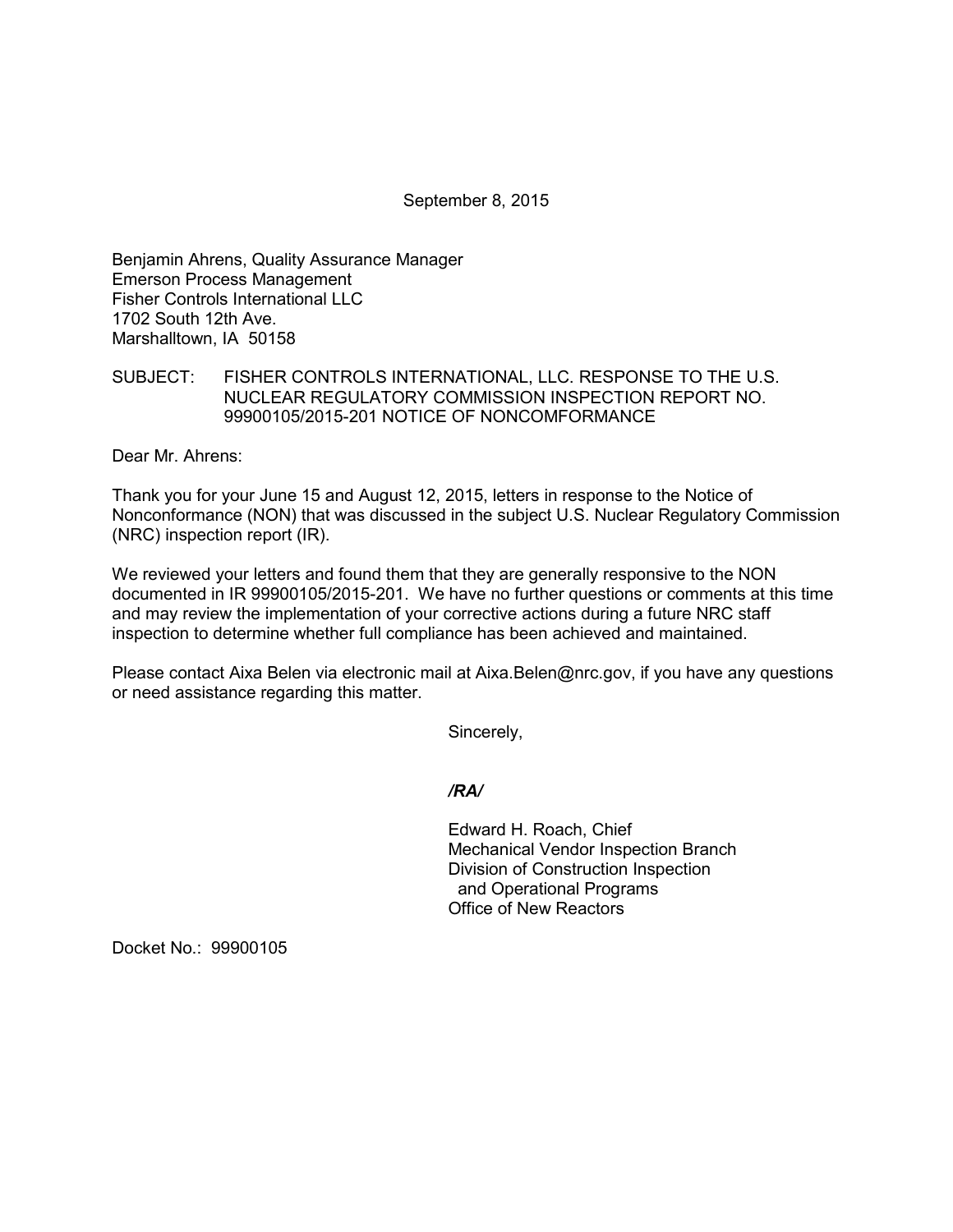September 8, 2015

Benjamin Ahrens, Quality Assurance Manager Emerson Process Management Fisher Controls International LLC 1702 South 12th Ave. Marshalltown, IA 50158

## SUBJECT: FISHER CONTROLS INTERNATIONAL, LLC. RESPONSE TO THE U.S. NUCLEAR REGULATORY COMMISSION INSPECTION REPORT NO. 99900105/2015-201 NOTICE OF NONCOMFORMANCE

Dear Mr. Ahrens:

Thank you for your June 15 and August 12, 2015, letters in response to the Notice of Nonconformance (NON) that was discussed in the subject U.S. Nuclear Regulatory Commission (NRC) inspection report (IR).

We reviewed your letters and found them that they are generally responsive to the NON documented in IR 99900105/2015-201. We have no further questions or comments at this time and may review the implementation of your corrective actions during a future NRC staff inspection to determine whether full compliance has been achieved and maintained.

Please contact Aixa Belen via electronic mail at Aixa.Belen@nrc.gov, if you have any questions or need assistance regarding this matter.

Sincerely,

### */RA/*

Edward H. Roach, Chief Mechanical Vendor Inspection Branch Division of Construction Inspection and Operational Programs Office of New Reactors

Docket No.: 99900105